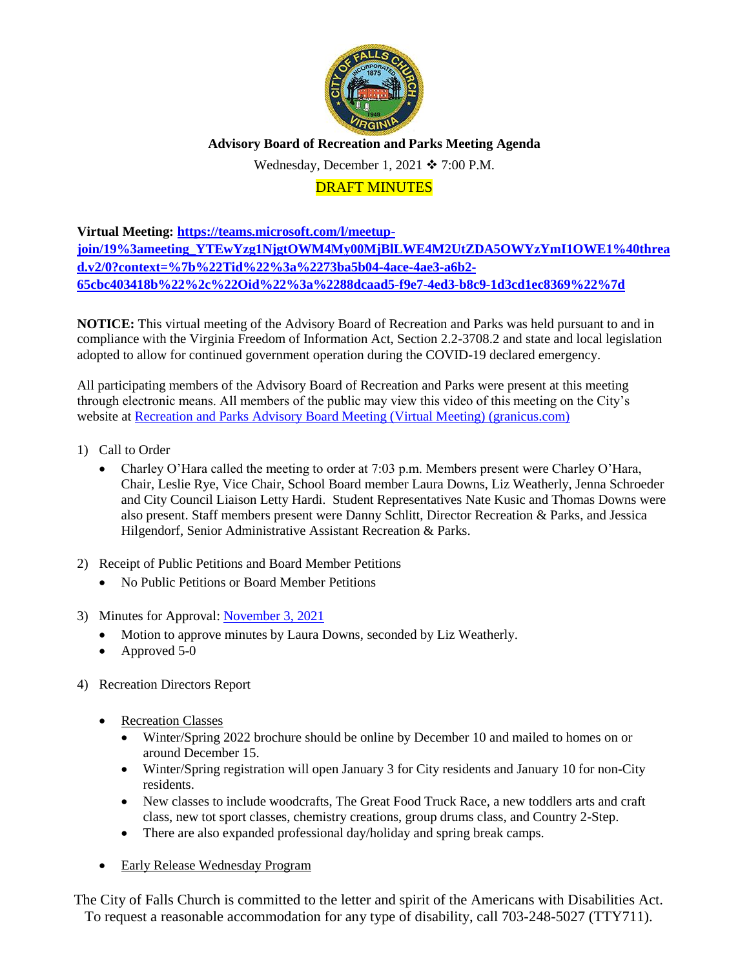

**Advisory Board of Recreation and Parks Meeting Agenda**

Wednesday, December 1, 2021  $\div$  7:00 P.M.

# DRAFT MINUTES

**Virtual Meeting: [https://teams.microsoft.com/l/meetup](https://teams.microsoft.com/l/meetup-join/19%3ameeting_YTEwYzg1NjgtOWM4My00MjBlLWE4M2UtZDA5OWYzYmI1OWE1%40thread.v2/0?context=%7b%22Tid%22%3a%2273ba5b04-4ace-4ae3-a6b2-65cbc403418b%22%2c%22Oid%22%3a%2288dcaad5-f9e7-4ed3-b8c9-1d3cd1ec8369%22%7d)[join/19%3ameeting\\_YTEwYzg1NjgtOWM4My00MjBlLWE4M2UtZDA5OWYzYmI1OWE1%40threa](https://teams.microsoft.com/l/meetup-join/19%3ameeting_YTEwYzg1NjgtOWM4My00MjBlLWE4M2UtZDA5OWYzYmI1OWE1%40thread.v2/0?context=%7b%22Tid%22%3a%2273ba5b04-4ace-4ae3-a6b2-65cbc403418b%22%2c%22Oid%22%3a%2288dcaad5-f9e7-4ed3-b8c9-1d3cd1ec8369%22%7d) [d.v2/0?context=%7b%22Tid%22%3a%2273ba5b04-4ace-4ae3-a6b2-](https://teams.microsoft.com/l/meetup-join/19%3ameeting_YTEwYzg1NjgtOWM4My00MjBlLWE4M2UtZDA5OWYzYmI1OWE1%40thread.v2/0?context=%7b%22Tid%22%3a%2273ba5b04-4ace-4ae3-a6b2-65cbc403418b%22%2c%22Oid%22%3a%2288dcaad5-f9e7-4ed3-b8c9-1d3cd1ec8369%22%7d) [65cbc403418b%22%2c%22Oid%22%3a%2288dcaad5-f9e7-4ed3-b8c9-1d3cd1ec8369%22%7d](https://teams.microsoft.com/l/meetup-join/19%3ameeting_YTEwYzg1NjgtOWM4My00MjBlLWE4M2UtZDA5OWYzYmI1OWE1%40thread.v2/0?context=%7b%22Tid%22%3a%2273ba5b04-4ace-4ae3-a6b2-65cbc403418b%22%2c%22Oid%22%3a%2288dcaad5-f9e7-4ed3-b8c9-1d3cd1ec8369%22%7d)**

**NOTICE:** This virtual meeting of the Advisory Board of Recreation and Parks was held pursuant to and in compliance with the Virginia Freedom of Information Act, Section 2.2-3708.2 and state and local legislation adopted to allow for continued government operation during the COVID-19 declared emergency.

All participating members of the Advisory Board of Recreation and Parks were present at this meeting through electronic means. All members of the public may view this video of this meeting on the City's website at [Recreation and Parks Advisory Board Meeting \(Virtual Meeting\) \(granicus.com\)](https://fallschurch-va.granicus.com/player/clip/1493?view_id=2&redirect=true)

- 1) Call to Order
	- Charley O'Hara called the meeting to order at 7:03 p.m. Members present were Charley O'Hara, Chair, Leslie Rye, Vice Chair, School Board member Laura Downs, Liz Weatherly, Jenna Schroeder and City Council Liaison Letty Hardi. Student Representatives Nate Kusic and Thomas Downs were also present. Staff members present were Danny Schlitt, Director Recreation & Parks, and Jessica Hilgendorf, Senior Administrative Assistant Recreation & Parks.
- 2) Receipt of Public Petitions and Board Member Petitions
	- No Public Petitions or Board Member Petitions
- 3) Minutes for Approval[: November 3, 2021](http://www.fallschurchva.gov/AgendaCenter/ViewFile/Minutes/_11032021-1927)
	- Motion to approve minutes by Laura Downs, seconded by Liz Weatherly.
	- Approved 5-0
- 4) Recreation Directors Report
	- Recreation Classes
		- Winter/Spring 2022 brochure should be online by December 10 and mailed to homes on or around December 15.
		- Winter/Spring registration will open January 3 for City residents and January 10 for non-City residents.
		- New classes to include woodcrafts, The Great Food Truck Race, a new toddlers arts and craft class, new tot sport classes, chemistry creations, group drums class, and Country 2-Step.
		- There are also expanded professional day/holiday and spring break camps.
	- Early Release Wednesday Program

The City of Falls Church is committed to the letter and spirit of the Americans with Disabilities Act. To request a reasonable accommodation for any type of disability, call 703-248-5027 (TTY711).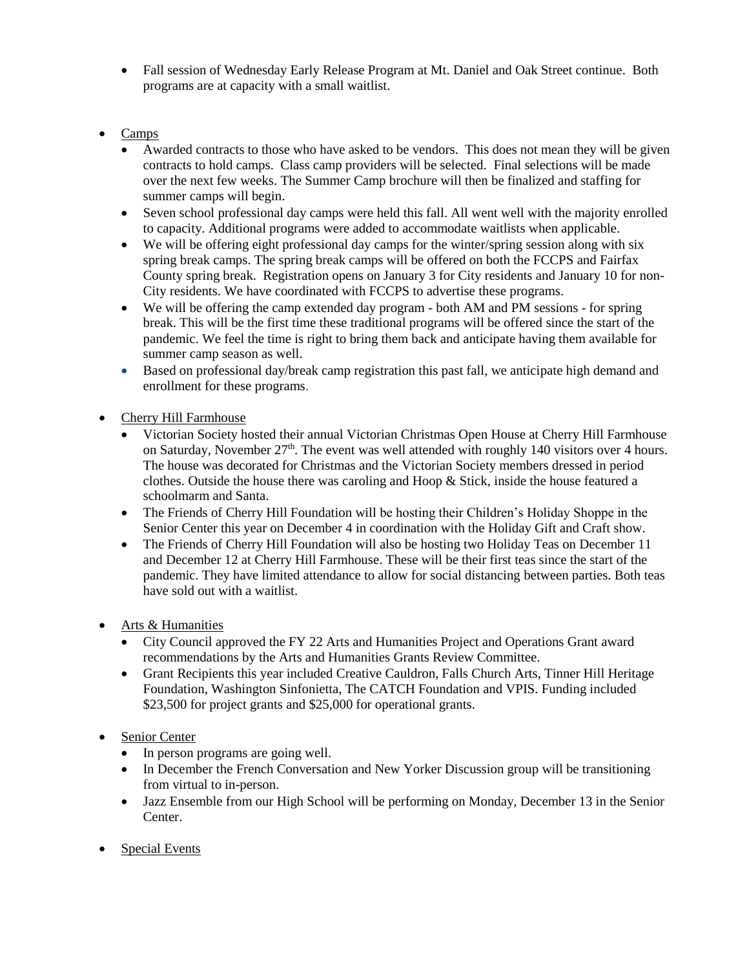- Fall session of Wednesday Early Release Program at Mt. Daniel and Oak Street continue. Both programs are at capacity with a small waitlist.
- **Camps** 
	- Awarded contracts to those who have asked to be vendors. This does not mean they will be given contracts to hold camps. Class camp providers will be selected. Final selections will be made over the next few weeks. The Summer Camp brochure will then be finalized and staffing for summer camps will begin.
	- Seven school professional day camps were held this fall. All went well with the majority enrolled to capacity. Additional programs were added to accommodate waitlists when applicable.
	- We will be offering eight professional day camps for the winter/spring session along with six spring break camps. The spring break camps will be offered on both the FCCPS and Fairfax County spring break. Registration opens on January 3 for City residents and January 10 for non-City residents. We have coordinated with FCCPS to advertise these programs.
	- We will be offering the camp extended day program both AM and PM sessions for spring break. This will be the first time these traditional programs will be offered since the start of the pandemic. We feel the time is right to bring them back and anticipate having them available for summer camp season as well.
	- Based on professional day/break camp registration this past fall, we anticipate high demand and enrollment for these programs.
- Cherry Hill Farmhouse
	- Victorian Society hosted their annual Victorian Christmas Open House at Cherry Hill Farmhouse on Saturday, November  $27<sup>th</sup>$ . The event was well attended with roughly 140 visitors over 4 hours. The house was decorated for Christmas and the Victorian Society members dressed in period clothes. Outside the house there was caroling and Hoop & Stick, inside the house featured a schoolmarm and Santa.
	- The Friends of Cherry Hill Foundation will be hosting their Children's Holiday Shoppe in the Senior Center this year on December 4 in coordination with the Holiday Gift and Craft show.
	- The Friends of Cherry Hill Foundation will also be hosting two Holiday Teas on December 11 and December 12 at Cherry Hill Farmhouse. These will be their first teas since the start of the pandemic. They have limited attendance to allow for social distancing between parties. Both teas have sold out with a waitlist.
- Arts & Humanities
	- City Council approved the FY 22 Arts and Humanities Project and Operations Grant award recommendations by the Arts and Humanities Grants Review Committee.
	- Grant Recipients this year included Creative Cauldron, Falls Church Arts, Tinner Hill Heritage Foundation, Washington Sinfonietta, The CATCH Foundation and VPIS. Funding included \$23,500 for project grants and \$25,000 for operational grants.
- Senior Center
	- In person programs are going well.
	- In December the French Conversation and New Yorker Discussion group will be transitioning from virtual to in-person.
	- Jazz Ensemble from our High School will be performing on Monday, December 13 in the Senior Center.
- Special Events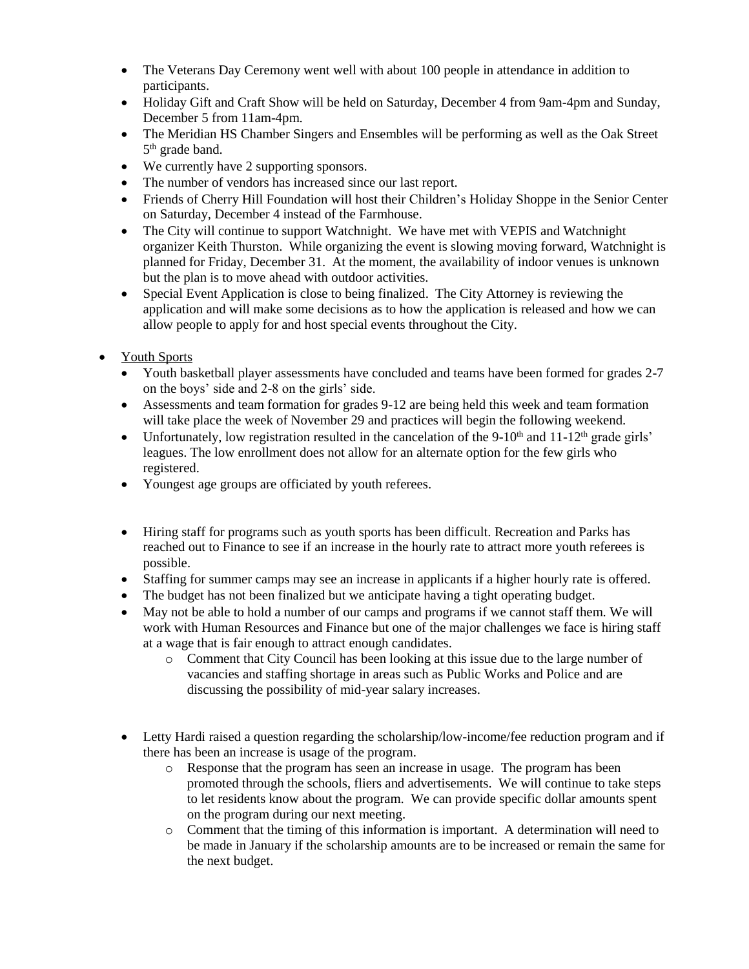- The Veterans Day Ceremony went well with about 100 people in attendance in addition to participants.
- Holiday Gift and Craft Show will be held on Saturday, December 4 from 9am-4pm and Sunday, December 5 from 11am-4pm.
- The Meridian HS Chamber Singers and Ensembles will be performing as well as the Oak Street 5<sup>th</sup> grade band.
- We currently have 2 supporting sponsors.
- The number of vendors has increased since our last report.
- Friends of Cherry Hill Foundation will host their Children's Holiday Shoppe in the Senior Center on Saturday, December 4 instead of the Farmhouse.
- The City will continue to support Watchnight. We have met with VEPIS and Watchnight organizer Keith Thurston. While organizing the event is slowing moving forward, Watchnight is planned for Friday, December 31. At the moment, the availability of indoor venues is unknown but the plan is to move ahead with outdoor activities.
- Special Event Application is close to being finalized. The City Attorney is reviewing the application and will make some decisions as to how the application is released and how we can allow people to apply for and host special events throughout the City.
- Youth Sports
	- Youth basketball player assessments have concluded and teams have been formed for grades 2-7 on the boys' side and 2-8 on the girls' side.
	- Assessments and team formation for grades 9-12 are being held this week and team formation will take place the week of November 29 and practices will begin the following weekend.
	- Unfortunately, low registration resulted in the cancelation of the 9-10<sup>th</sup> and  $11{\text -}12^{\text{th}}$  grade girls' leagues. The low enrollment does not allow for an alternate option for the few girls who registered.
	- Youngest age groups are officiated by youth referees.
	- Hiring staff for programs such as youth sports has been difficult. Recreation and Parks has reached out to Finance to see if an increase in the hourly rate to attract more youth referees is possible.
	- Staffing for summer camps may see an increase in applicants if a higher hourly rate is offered.
	- The budget has not been finalized but we anticipate having a tight operating budget.
	- May not be able to hold a number of our camps and programs if we cannot staff them. We will work with Human Resources and Finance but one of the major challenges we face is hiring staff at a wage that is fair enough to attract enough candidates.
		- $\circ$  Comment that City Council has been looking at this issue due to the large number of vacancies and staffing shortage in areas such as Public Works and Police and are discussing the possibility of mid-year salary increases.
	- Letty Hardi raised a question regarding the scholarship/low-income/fee reduction program and if there has been an increase is usage of the program.
		- o Response that the program has seen an increase in usage. The program has been promoted through the schools, fliers and advertisements. We will continue to take steps to let residents know about the program. We can provide specific dollar amounts spent on the program during our next meeting.
		- o Comment that the timing of this information is important. A determination will need to be made in January if the scholarship amounts are to be increased or remain the same for the next budget.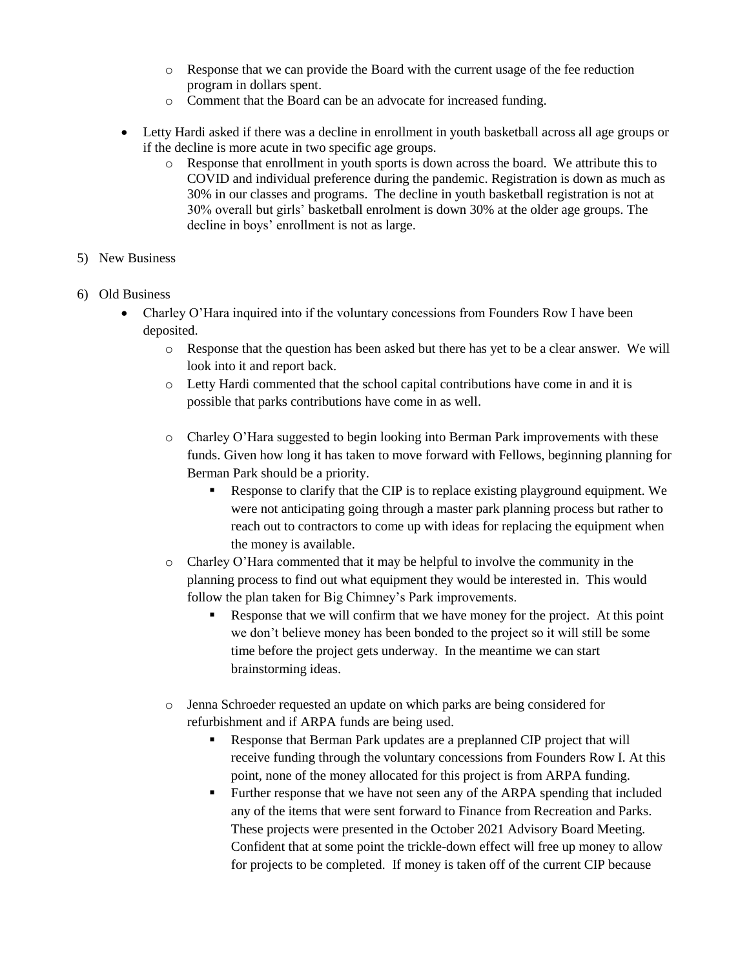- o Response that we can provide the Board with the current usage of the fee reduction program in dollars spent.
- o Comment that the Board can be an advocate for increased funding.
- Letty Hardi asked if there was a decline in enrollment in youth basketball across all age groups or if the decline is more acute in two specific age groups.
	- o Response that enrollment in youth sports is down across the board. We attribute this to COVID and individual preference during the pandemic. Registration is down as much as 30% in our classes and programs. The decline in youth basketball registration is not at 30% overall but girls' basketball enrolment is down 30% at the older age groups. The decline in boys' enrollment is not as large.
- 5) New Business
- 6) Old Business
	- Charley O'Hara inquired into if the voluntary concessions from Founders Row I have been deposited.
		- o Response that the question has been asked but there has yet to be a clear answer. We will look into it and report back.
		- o Letty Hardi commented that the school capital contributions have come in and it is possible that parks contributions have come in as well.
		- o Charley O'Hara suggested to begin looking into Berman Park improvements with these funds. Given how long it has taken to move forward with Fellows, beginning planning for Berman Park should be a priority.
			- Response to clarify that the CIP is to replace existing playground equipment. We were not anticipating going through a master park planning process but rather to reach out to contractors to come up with ideas for replacing the equipment when the money is available.
		- $\circ$  Charley O'Hara commented that it may be helpful to involve the community in the planning process to find out what equipment they would be interested in. This would follow the plan taken for Big Chimney's Park improvements.
			- Response that we will confirm that we have money for the project. At this point we don't believe money has been bonded to the project so it will still be some time before the project gets underway. In the meantime we can start brainstorming ideas.
		- o Jenna Schroeder requested an update on which parks are being considered for refurbishment and if ARPA funds are being used.
			- Response that Berman Park updates are a preplanned CIP project that will receive funding through the voluntary concessions from Founders Row I. At this point, none of the money allocated for this project is from ARPA funding.
			- Further response that we have not seen any of the ARPA spending that included any of the items that were sent forward to Finance from Recreation and Parks. These projects were presented in the October 2021 Advisory Board Meeting. Confident that at some point the trickle-down effect will free up money to allow for projects to be completed. If money is taken off of the current CIP because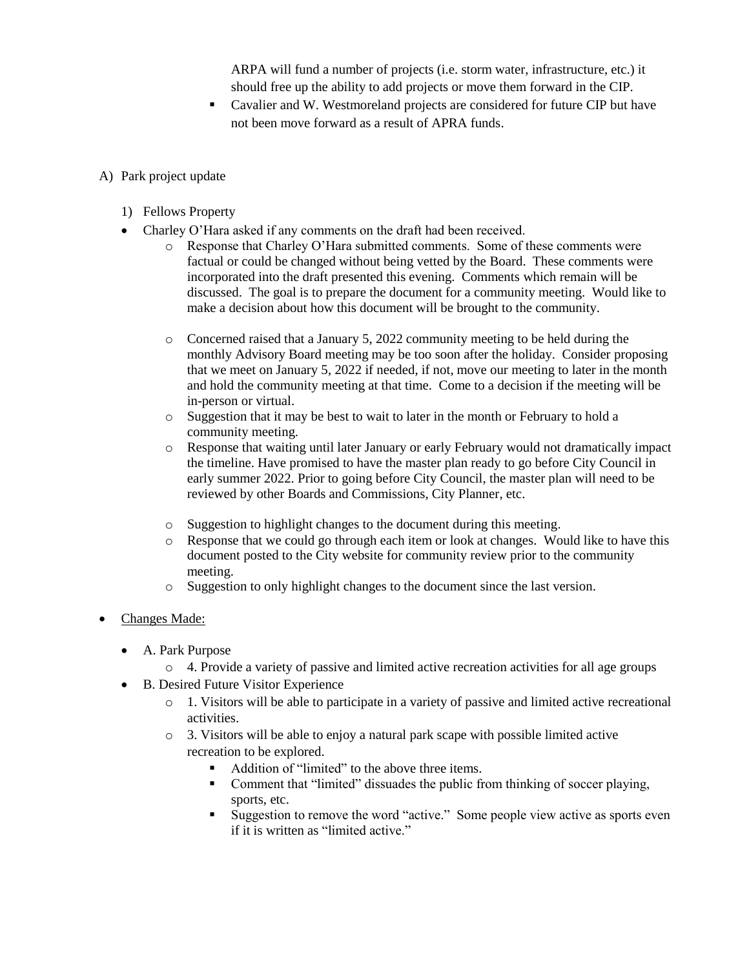ARPA will fund a number of projects (i.e. storm water, infrastructure, etc.) it should free up the ability to add projects or move them forward in the CIP.

- Cavalier and W. Westmoreland projects are considered for future CIP but have not been move forward as a result of APRA funds.
- A) Park project update
	- 1) Fellows Property
	- Charley O'Hara asked if any comments on the draft had been received.
		- o Response that Charley O'Hara submitted comments. Some of these comments were factual or could be changed without being vetted by the Board. These comments were incorporated into the draft presented this evening. Comments which remain will be discussed. The goal is to prepare the document for a community meeting. Would like to make a decision about how this document will be brought to the community.
		- $\circ$  Concerned raised that a January 5, 2022 community meeting to be held during the monthly Advisory Board meeting may be too soon after the holiday. Consider proposing that we meet on January 5, 2022 if needed, if not, move our meeting to later in the month and hold the community meeting at that time. Come to a decision if the meeting will be in-person or virtual.
		- $\circ$  Suggestion that it may be best to wait to later in the month or February to hold a community meeting.
		- o Response that waiting until later January or early February would not dramatically impact the timeline. Have promised to have the master plan ready to go before City Council in early summer 2022. Prior to going before City Council, the master plan will need to be reviewed by other Boards and Commissions, City Planner, etc.
		- o Suggestion to highlight changes to the document during this meeting.
		- o Response that we could go through each item or look at changes. Would like to have this document posted to the City website for community review prior to the community meeting.
		- o Suggestion to only highlight changes to the document since the last version.
- Changes Made:
	- A. Park Purpose
		- $\circ$  4. Provide a variety of passive and limited active recreation activities for all age groups
	- B. Desired Future Visitor Experience
		- o 1. Visitors will be able to participate in a variety of passive and limited active recreational activities.
		- o 3. Visitors will be able to enjoy a natural park scape with possible limited active recreation to be explored.
			- Addition of "limited" to the above three items.
			- Comment that "limited" dissuades the public from thinking of soccer playing, sports, etc.
			- Suggestion to remove the word "active." Some people view active as sports even if it is written as "limited active."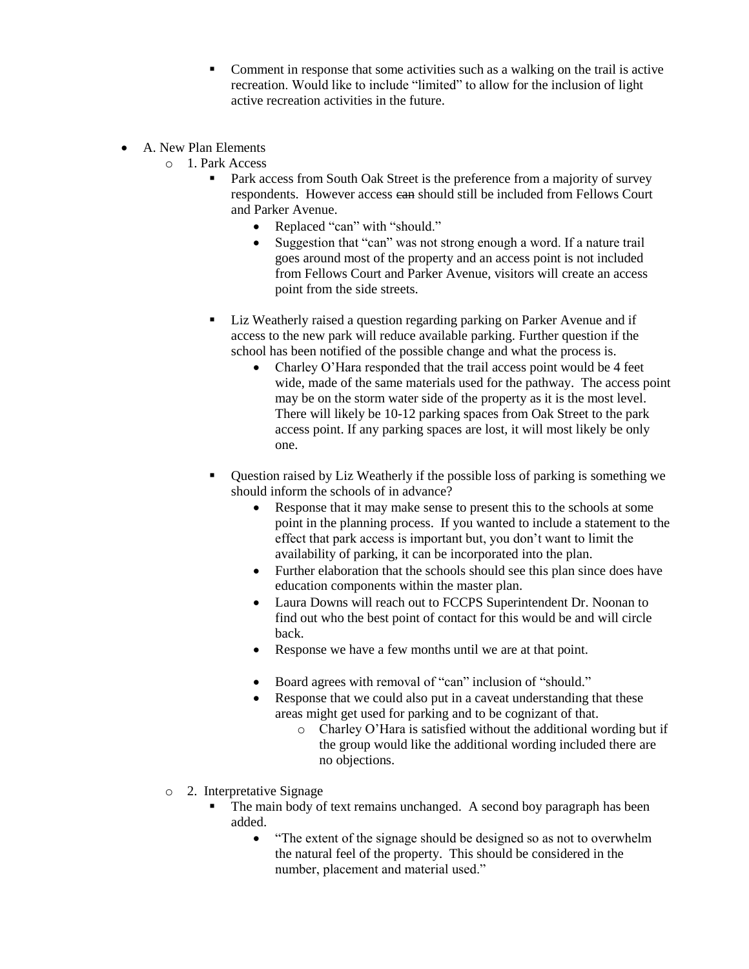- Comment in response that some activities such as a walking on the trail is active recreation. Would like to include "limited" to allow for the inclusion of light active recreation activities in the future.
- A. New Plan Elements
	- o 1. Park Access
		- Park access from South Oak Street is the preference from a majority of survey respondents. However access ean should still be included from Fellows Court and Parker Avenue.
			- Replaced "can" with "should."
			- Suggestion that "can" was not strong enough a word. If a nature trail goes around most of the property and an access point is not included from Fellows Court and Parker Avenue, visitors will create an access point from the side streets.
		- Liz Weatherly raised a question regarding parking on Parker Avenue and if access to the new park will reduce available parking. Further question if the school has been notified of the possible change and what the process is.
			- Charley O'Hara responded that the trail access point would be 4 feet wide, made of the same materials used for the pathway. The access point may be on the storm water side of the property as it is the most level. There will likely be 10-12 parking spaces from Oak Street to the park access point. If any parking spaces are lost, it will most likely be only one.
		- Question raised by Liz Weatherly if the possible loss of parking is something we should inform the schools of in advance?
			- Response that it may make sense to present this to the schools at some point in the planning process. If you wanted to include a statement to the effect that park access is important but, you don't want to limit the availability of parking, it can be incorporated into the plan.
			- Further elaboration that the schools should see this plan since does have education components within the master plan.
			- Laura Downs will reach out to FCCPS Superintendent Dr. Noonan to find out who the best point of contact for this would be and will circle back.
			- Response we have a few months until we are at that point.
			- Board agrees with removal of "can" inclusion of "should."
			- Response that we could also put in a caveat understanding that these areas might get used for parking and to be cognizant of that.
				- o Charley O'Hara is satisfied without the additional wording but if the group would like the additional wording included there are no objections.
	- o 2. Interpretative Signage
		- The main body of text remains unchanged. A second boy paragraph has been added.
			- "The extent of the signage should be designed so as not to overwhelm the natural feel of the property. This should be considered in the number, placement and material used."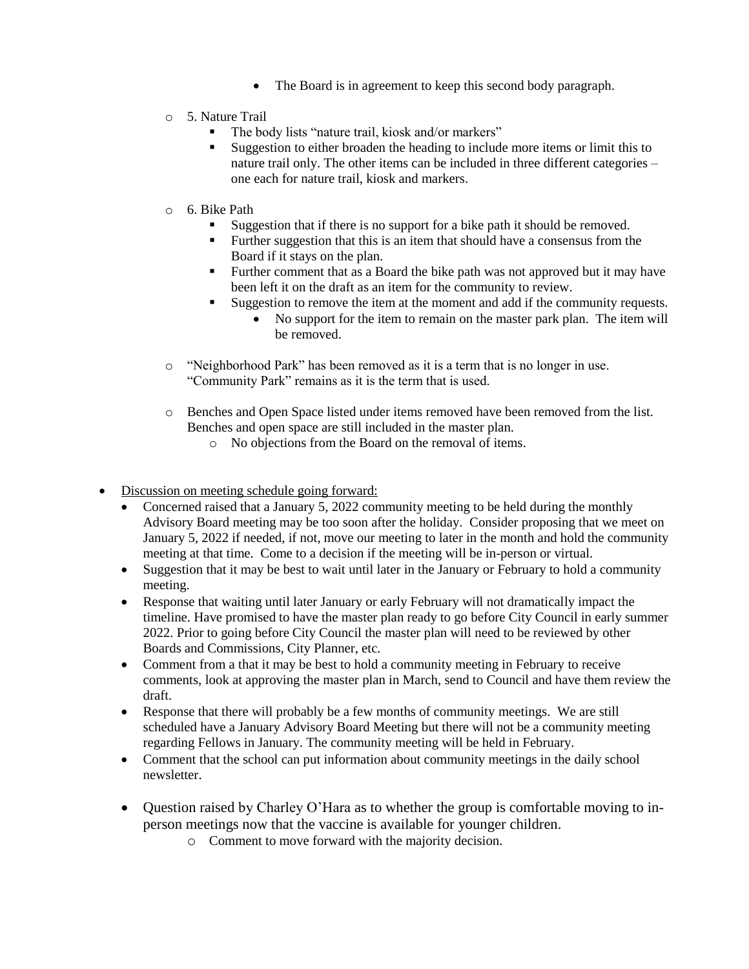- The Board is in agreement to keep this second body paragraph.
- o 5. Nature Trail
	- The body lists "nature trail, kiosk and/or markers"
	- Suggestion to either broaden the heading to include more items or limit this to nature trail only. The other items can be included in three different categories – one each for nature trail, kiosk and markers.
- o 6. Bike Path
	- Suggestion that if there is no support for a bike path it should be removed.
	- **Further suggestion that this is an item that should have a consensus from the** Board if it stays on the plan.
	- Further comment that as a Board the bike path was not approved but it may have been left it on the draft as an item for the community to review.
	- Suggestion to remove the item at the moment and add if the community requests.
		- No support for the item to remain on the master park plan. The item will be removed.
- o "Neighborhood Park" has been removed as it is a term that is no longer in use. "Community Park" remains as it is the term that is used.
- o Benches and Open Space listed under items removed have been removed from the list. Benches and open space are still included in the master plan.
	- o No objections from the Board on the removal of items.
- Discussion on meeting schedule going forward:
	- Concerned raised that a January 5, 2022 community meeting to be held during the monthly Advisory Board meeting may be too soon after the holiday. Consider proposing that we meet on January 5, 2022 if needed, if not, move our meeting to later in the month and hold the community meeting at that time. Come to a decision if the meeting will be in-person or virtual.
	- Suggestion that it may be best to wait until later in the January or February to hold a community meeting.
	- Response that waiting until later January or early February will not dramatically impact the timeline. Have promised to have the master plan ready to go before City Council in early summer 2022. Prior to going before City Council the master plan will need to be reviewed by other Boards and Commissions, City Planner, etc.
	- Comment from a that it may be best to hold a community meeting in February to receive comments, look at approving the master plan in March, send to Council and have them review the draft.
	- Response that there will probably be a few months of community meetings. We are still scheduled have a January Advisory Board Meeting but there will not be a community meeting regarding Fellows in January. The community meeting will be held in February.
	- Comment that the school can put information about community meetings in the daily school newsletter.
	- Question raised by Charley O'Hara as to whether the group is comfortable moving to inperson meetings now that the vaccine is available for younger children.
		- o Comment to move forward with the majority decision.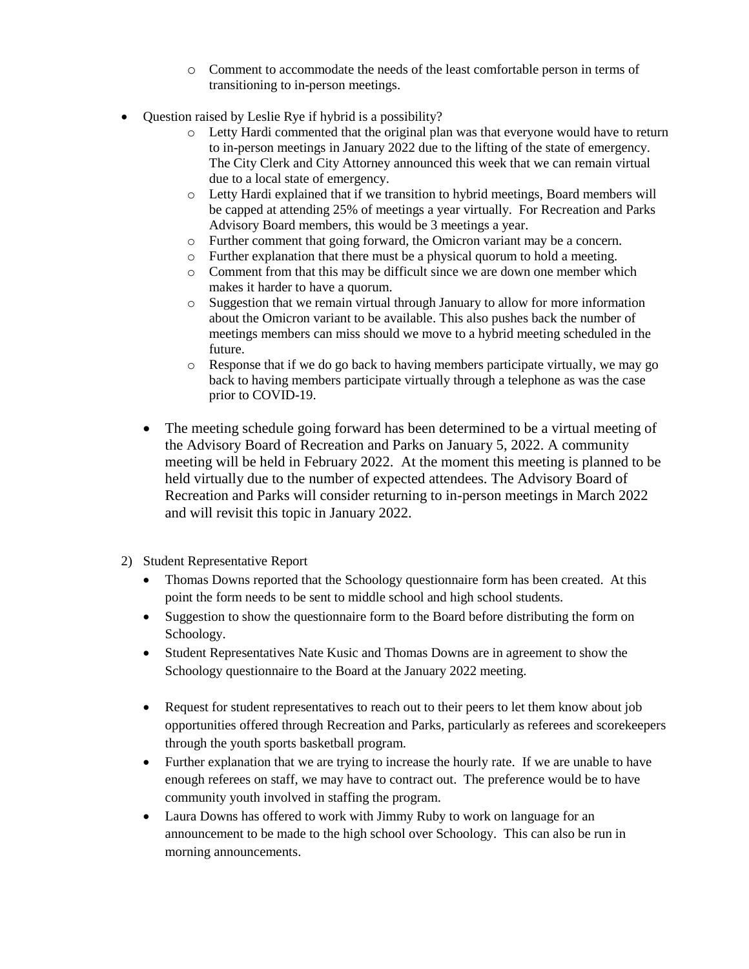- o Comment to accommodate the needs of the least comfortable person in terms of transitioning to in-person meetings.
- Question raised by Leslie Rye if hybrid is a possibility?
	- o Letty Hardi commented that the original plan was that everyone would have to return to in-person meetings in January 2022 due to the lifting of the state of emergency. The City Clerk and City Attorney announced this week that we can remain virtual due to a local state of emergency.
	- o Letty Hardi explained that if we transition to hybrid meetings, Board members will be capped at attending 25% of meetings a year virtually. For Recreation and Parks Advisory Board members, this would be 3 meetings a year.
	- o Further comment that going forward, the Omicron variant may be a concern.
	- o Further explanation that there must be a physical quorum to hold a meeting.
	- o Comment from that this may be difficult since we are down one member which makes it harder to have a quorum.
	- o Suggestion that we remain virtual through January to allow for more information about the Omicron variant to be available. This also pushes back the number of meetings members can miss should we move to a hybrid meeting scheduled in the future.
	- $\circ$  Response that if we do go back to having members participate virtually, we may go back to having members participate virtually through a telephone as was the case prior to COVID-19.
	- The meeting schedule going forward has been determined to be a virtual meeting of the Advisory Board of Recreation and Parks on January 5, 2022. A community meeting will be held in February 2022. At the moment this meeting is planned to be held virtually due to the number of expected attendees. The Advisory Board of Recreation and Parks will consider returning to in-person meetings in March 2022 and will revisit this topic in January 2022.
- 2) Student Representative Report
	- Thomas Downs reported that the Schoology questionnaire form has been created. At this point the form needs to be sent to middle school and high school students.
	- Suggestion to show the questionnaire form to the Board before distributing the form on Schoology.
	- Student Representatives Nate Kusic and Thomas Downs are in agreement to show the Schoology questionnaire to the Board at the January 2022 meeting.
	- Request for student representatives to reach out to their peers to let them know about job opportunities offered through Recreation and Parks, particularly as referees and scorekeepers through the youth sports basketball program.
	- Further explanation that we are trying to increase the hourly rate. If we are unable to have enough referees on staff, we may have to contract out. The preference would be to have community youth involved in staffing the program.
	- Laura Downs has offered to work with Jimmy Ruby to work on language for an announcement to be made to the high school over Schoology. This can also be run in morning announcements.